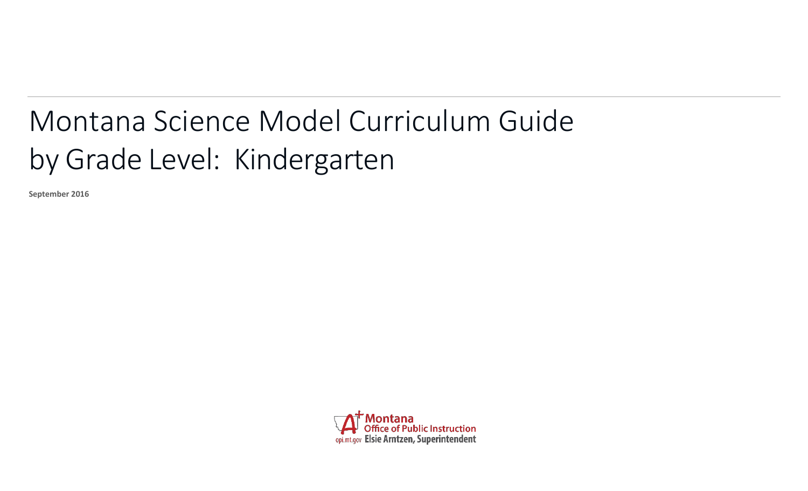## Montana Science Model Curriculum Guide by Grade Level: Kindergarten

**September 2016**

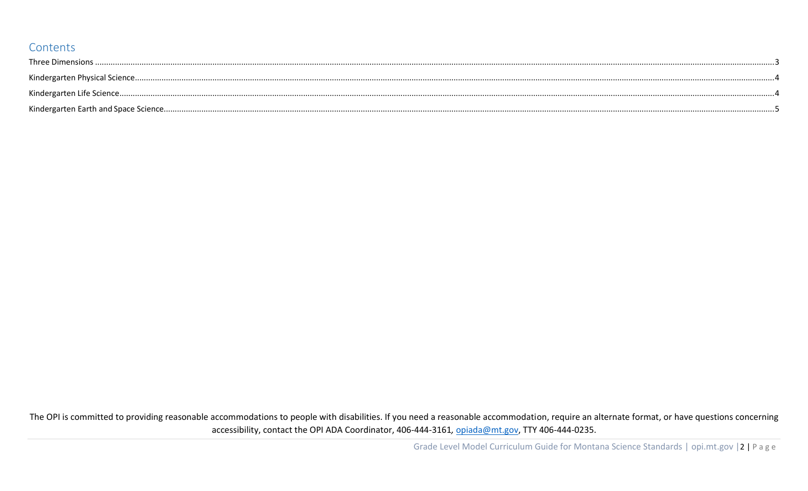## Contents

| $\textbf{Three Dimensions} \textit{} \textit{} \textit{} \textit{} \textit{} \textit{} \textit{} \textit{} \textit{} \textit{} \textit{} \textit{} \textit{} \textit{} \textit{} \textit{} \textit{} \textit{} \textit{} \textit{} \textit{} \textit{} \textit{} \textit{} \textit{} \textit{} \textit{} \textit{} \textit{} \textit{} \textit{} \textit{} \textit{} \textit{} \textit{} \textit$ |  |
|---------------------------------------------------------------------------------------------------------------------------------------------------------------------------------------------------------------------------------------------------------------------------------------------------------------------------------------------------------------------------------------------------|--|
|                                                                                                                                                                                                                                                                                                                                                                                                   |  |
|                                                                                                                                                                                                                                                                                                                                                                                                   |  |
|                                                                                                                                                                                                                                                                                                                                                                                                   |  |

The OPI is committed to providing reasonable accommodations to people with disabilities. If you need a reasonable accommodation, require an alternate format, or have questions concerning accessibility, contact the OPI ADA Coordinator, 406-444-3161, opiada@mt.gov, TTY 406-444-0235.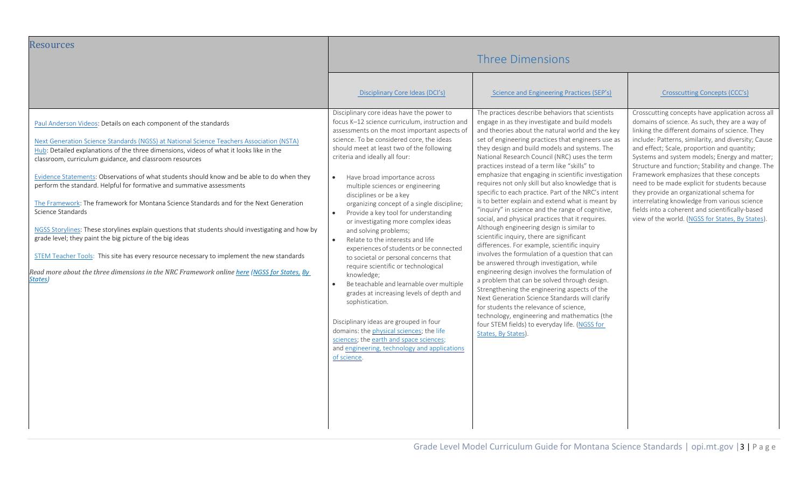<span id="page-2-0"></span>

| <b>Resources</b>                                                                                                                                                                                                                                                                                                                                                                                                                                                                                                                                                                                                                                                                                                                                                                                                                                                                                                                                                                | <b>Three Dimensions</b>                                                                                                                                                                                                                                                                                                                                                                                                                                                                                                                                                                                                                                                                                                                                                                                                                                                                                                                                                                                                                                                  |                                                                                                                                                                                                                                                                                                                                                                                                                                                                                                                                                                                                                                                                                                                                                                                                                                                                                                                                                                                                                                                                                                                                                                                                                                                                                                               |                                                                                                                                                                                                                                                                                                                                                                                                                                                                                                                                                                                                                                                                    |
|---------------------------------------------------------------------------------------------------------------------------------------------------------------------------------------------------------------------------------------------------------------------------------------------------------------------------------------------------------------------------------------------------------------------------------------------------------------------------------------------------------------------------------------------------------------------------------------------------------------------------------------------------------------------------------------------------------------------------------------------------------------------------------------------------------------------------------------------------------------------------------------------------------------------------------------------------------------------------------|--------------------------------------------------------------------------------------------------------------------------------------------------------------------------------------------------------------------------------------------------------------------------------------------------------------------------------------------------------------------------------------------------------------------------------------------------------------------------------------------------------------------------------------------------------------------------------------------------------------------------------------------------------------------------------------------------------------------------------------------------------------------------------------------------------------------------------------------------------------------------------------------------------------------------------------------------------------------------------------------------------------------------------------------------------------------------|---------------------------------------------------------------------------------------------------------------------------------------------------------------------------------------------------------------------------------------------------------------------------------------------------------------------------------------------------------------------------------------------------------------------------------------------------------------------------------------------------------------------------------------------------------------------------------------------------------------------------------------------------------------------------------------------------------------------------------------------------------------------------------------------------------------------------------------------------------------------------------------------------------------------------------------------------------------------------------------------------------------------------------------------------------------------------------------------------------------------------------------------------------------------------------------------------------------------------------------------------------------------------------------------------------------|--------------------------------------------------------------------------------------------------------------------------------------------------------------------------------------------------------------------------------------------------------------------------------------------------------------------------------------------------------------------------------------------------------------------------------------------------------------------------------------------------------------------------------------------------------------------------------------------------------------------------------------------------------------------|
|                                                                                                                                                                                                                                                                                                                                                                                                                                                                                                                                                                                                                                                                                                                                                                                                                                                                                                                                                                                 | Disciplinary Core Ideas (DCI's)                                                                                                                                                                                                                                                                                                                                                                                                                                                                                                                                                                                                                                                                                                                                                                                                                                                                                                                                                                                                                                          | Science and Engineering Practices (SEP's)                                                                                                                                                                                                                                                                                                                                                                                                                                                                                                                                                                                                                                                                                                                                                                                                                                                                                                                                                                                                                                                                                                                                                                                                                                                                     | Crosscutting Concepts (CCC's)                                                                                                                                                                                                                                                                                                                                                                                                                                                                                                                                                                                                                                      |
| Paul Anderson Videos: Details on each component of the standards<br>Next Generation Science Standards (NGSS) at National Science Teachers Association (NSTA)<br>Hub: Detailed explanations of the three dimensions, videos of what it looks like in the<br>classroom, curriculum guidance, and classroom resources<br>Evidence Statements: Observations of what students should know and be able to do when they<br>perform the standard. Helpful for formative and summative assessments<br>The Framework: The framework for Montana Science Standards and for the Next Generation<br>Science Standards<br>NGSS Storylines: These storylines explain questions that students should investigating and how by<br>grade level; they paint the big picture of the big ideas<br>STEM Teacher Tools: This site has every resource necessary to implement the new standards<br>Read more about the three dimensions in the NRC Framework online here (NGSS for States, By<br>States) | Disciplinary core ideas have the power to<br>focus K-12 science curriculum, instruction and<br>assessments on the most important aspects of<br>science. To be considered core, the ideas<br>should meet at least two of the following<br>criteria and ideally all four:<br>Have broad importance across<br>$\bullet$<br>multiple sciences or engineering<br>disciplines or be a key<br>organizing concept of a single discipline;<br>Provide a key tool for understanding<br>$\bullet$<br>or investigating more complex ideas<br>and solving problems;<br>Relate to the interests and life<br>$\bullet$<br>experiences of students or be connected<br>to societal or personal concerns that<br>require scientific or technological<br>knowledge;<br>Be teachable and learnable over multiple<br>$\bullet$<br>grades at increasing levels of depth and<br>sophistication.<br>Disciplinary ideas are grouped in four<br>domains: the physical sciences; the life<br>sciences; the earth and space sciences;<br>and engineering, technology and applications<br>of science. | The practices describe behaviors that scientists<br>engage in as they investigate and build models<br>and theories about the natural world and the key<br>set of engineering practices that engineers use as<br>they design and build models and systems. The<br>National Research Council (NRC) uses the term<br>practices instead of a term like "skills" to<br>emphasize that engaging in scientific investigation<br>requires not only skill but also knowledge that is<br>specific to each practice. Part of the NRC's intent<br>is to better explain and extend what is meant by<br>"inquiry" in science and the range of cognitive,<br>social, and physical practices that it requires.<br>Although engineering design is similar to<br>scientific inquiry, there are significant<br>differences. For example, scientific inquiry<br>involves the formulation of a question that can<br>be answered through investigation, while<br>engineering design involves the formulation of<br>a problem that can be solved through design.<br>Strengthening the engineering aspects of the<br>Next Generation Science Standards will clarify<br>for students the relevance of science,<br>technology, engineering and mathematics (the<br>four STEM fields) to everyday life. (NGSS for<br>States, By States). | Crosscutting concepts have application across all<br>domains of science. As such, they are a way of<br>linking the different domains of science. They<br>include: Patterns, similarity, and diversity; Cause<br>and effect; Scale, proportion and quantity;<br>Systems and system models; Energy and matter;<br>Structure and function; Stability and change. The<br>Framework emphasizes that these concepts<br>need to be made explicit for students because<br>they provide an organizational schema for<br>interrelating knowledge from various science<br>fields into a coherent and scientifically-based<br>view of the world. (NGSS for States, By States). |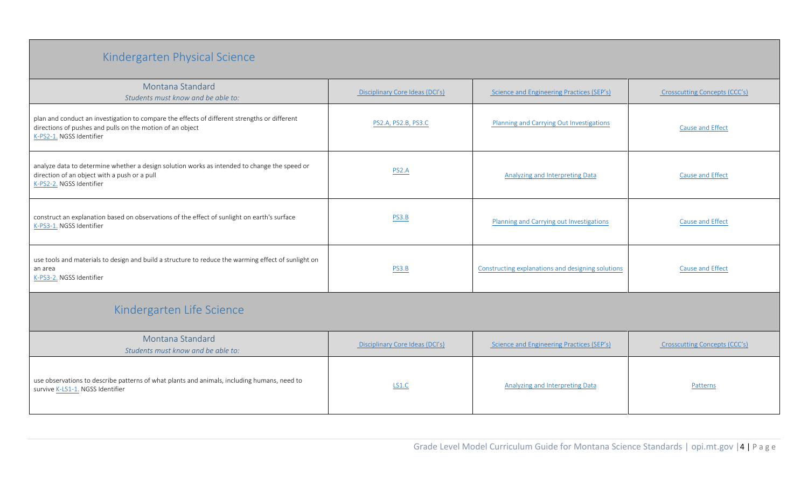## Kindergarten Physical Science

<span id="page-3-1"></span><span id="page-3-0"></span>

| Montana Standard<br>Students must know and be able to:                                                                                                                                | Disciplinary Core Ideas (DCI's) | Science and Engineering Practices (SEP's)         | Crosscutting Concepts (CCC's) |
|---------------------------------------------------------------------------------------------------------------------------------------------------------------------------------------|---------------------------------|---------------------------------------------------|-------------------------------|
| plan and conduct an investigation to compare the effects of different strengths or different<br>directions of pushes and pulls on the motion of an object<br>K-PS2-1. NGSS Identifier | PS2.A, PS2.B, PS3.C             | Planning and Carrying Out Investigations          | Cause and Effect              |
| analyze data to determine whether a design solution works as intended to change the speed or<br>direction of an object with a push or a pull<br>K-PS2-2. NGSS Identifier              | PS2.A                           | <b>Analyzing and Interpreting Data</b>            | Cause and Effect              |
| construct an explanation based on observations of the effect of sunlight on earth's surface<br>K-PS3-1. NGSS Identifier                                                               | PS3.B                           | Planning and Carrying out Investigations          | Cause and Effect              |
| use tools and materials to design and build a structure to reduce the warming effect of sunlight on<br>an area<br>K-PS3-2. NGSS Identifier                                            | PS3.B                           | Constructing explanations and designing solutions | Cause and Effect              |
| Kindergarten Life Science                                                                                                                                                             |                                 |                                                   |                               |
| Montana Standard<br>Students must know and be able to:                                                                                                                                | Disciplinary Core Ideas (DCI's) | Science and Engineering Practices (SEP's)         | Crosscutting Concepts (CCC's) |
| use observations to describe patterns of what plants and animals, including humans, need to<br>survive K-LS1-1. NGSS Identifier                                                       | LS1.C                           | <b>Analyzing and Interpreting Data</b>            | Patterns                      |